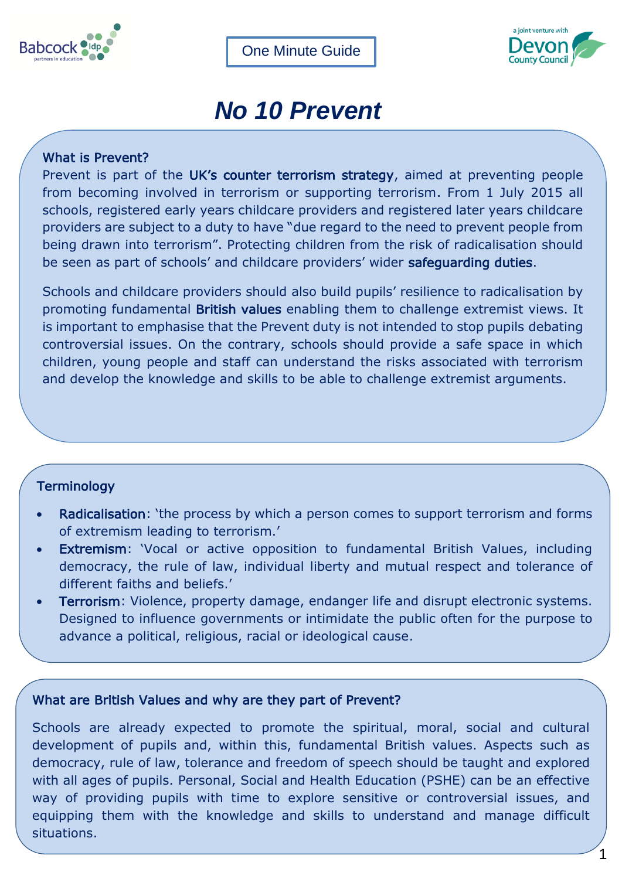



# *No 10 Prevent*

## What is Prevent?

Prevent is part of the UK's counter terrorism strategy, aimed at preventing people from becoming involved in terrorism or supporting terrorism. From 1 July 2015 all schools, registered early years childcare providers and registered later years childcare providers are subject to a duty to have "due regard to the need to prevent people from being drawn into terrorism". Protecting children from the risk of radicalisation should be seen as part of schools' and childcare providers' wider safeguarding duties.

Schools and childcare providers should also build pupils' resilience to radicalisation by promoting fundamental British values enabling them to challenge extremist views. It is important to emphasise that the Prevent duty is not intended to stop pupils debating controversial issues. On the contrary, schools should provide a safe space in which children, young people and staff can understand the risks associated with terrorism and develop the knowledge and skills to be able to challenge extremist arguments.

## **Terminology**

- Radicalisation: 'the process by which a person comes to support terrorism and forms of extremism leading to terrorism.'
- Extremism: 'Vocal or active opposition to fundamental British Values, including democracy, the rule of law, individual liberty and mutual respect and tolerance of different faiths and beliefs.'
- Terrorism: Violence, property damage, endanger life and disrupt electronic systems. Designed to influence governments or intimidate the public often for the purpose to advance a political, religious, racial or ideological cause.

## What are British Values and why are they part of Prevent?

HR policies and procedures

Schools are already expected to promote the spiritual, moral, social and cultural development of pupils and, within this, fundamental British values. Aspects such as democracy, rule of law, tolerance and freedom of speech should be taught and explored with all ages of pupils. Personal, Social and Health Education (PSHE) can be an effective way of providing pupils with time to explore sensitive or controversial issues, and equipping them with the knowledge and skills to understand and manage difficult situations.